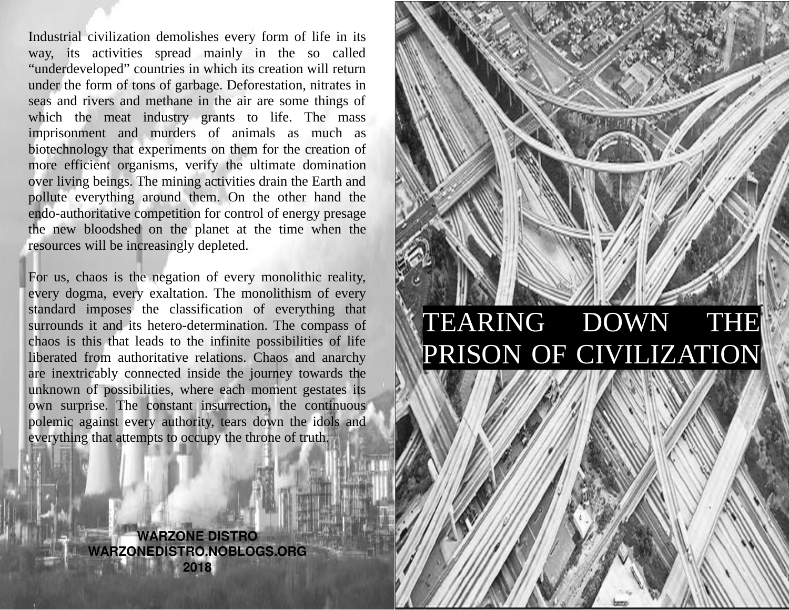Industrial civilization demolishes every form of life in its way, its activities spread mainly in the so called "underdeveloped" countries in which its creation will return under the form of tons of garbage. Deforestation, nitrates in seas and rivers and methane in the air are some things of which the meat industry grants to life. The mass imprisonment and murders of animals as much as biotechnology that experiments on them for the creation of more efficient organisms, verify the ultimate domination over living beings. The mining activities drain the Earth and pollute everything around them. On the other hand the endo-authoritative competition for control of energy presage the new bloodshed on the planet at the time when the resources will be increasingly depleted.

For us, chaos is the negation of every monolithic reality, every dogma, every exaltation. The monolithism of every standard imposes the classification of everything that surrounds it and its hetero-determination. The compass of chaos is this that leads to the infinite possibilities of life liberated from authoritative relations. Chaos and anarchy are inextricably connected inside the journey towards the unknown of possibilities, where each moment gestates its own surprise. The constant insurrection, the continuous polemic against every authority, tears down the idols and everything that attempts to occupy the throne of truth.

TEARING DOWN THE PRISON OF CIVILIZATION

**WARZONE DISTRO WARZONEDISTRO.NOBLOGS.ORG 2018**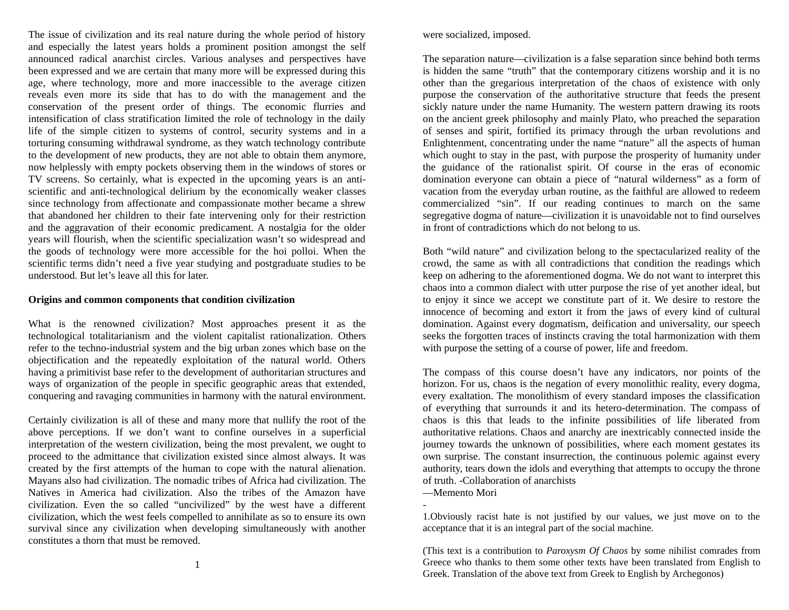The issue of civilization and its real nature during the whole period of history and especially the latest years holds a prominent position amongst the self announced radical anarchist circles. Various analyses and perspectives have been expressed and we are certain that many more will be expressed during this age, where technology, more and more inaccessible to the average citizen reveals even more its side that has to do with the management and the conservation of the present order of things. The economic flurries and intensification of class stratification limited the role of technology in the daily life of the simple citizen to systems of control, security systems and in a torturing consuming withdrawal syndrome, as they watch technology contribute to the development of new products, they are not able to obtain them anymore, now helplessly with empty pockets observing them in the windows of stores or TV screens. So certainly, what is expected in the upcoming years is an antiscientific and anti-technological delirium by the economically weaker classes since technology from affectionate and compassionate mother became a shrew that abandoned her children to their fate intervening only for their restriction and the aggravation of their economic predicament. A nostalgia for the older years will flourish, when the scientific specialization wasn't so widespread and the goods of technology were more accessible for the hoi polloi. When the scientific terms didn't need a five year studying and postgraduate studies to be understood. But let's leave all this for later.

## **Origins and common components that condition civilization**

What is the renowned civilization? Most approaches present it as the technological totalitarianism and the violent capitalist rationalization. Others refer to the techno-industrial system and the big urban zones which base on the objectification and the repeatedly exploitation of the natural world. Others having a primitivist base refer to the development of authoritarian structures and ways of organization of the people in specific geographic areas that extended, conquering and ravaging communities in harmony with the natural environment.

Certainly civilization is all of these and many more that nullify the root of the above perceptions. If we don't want to confine ourselves in a superficial interpretation of the western civilization, being the most prevalent, we ought to proceed to the admittance that civilization existed since almost always. It was created by the first attempts of the human to cope with the natural alienation. Mayans also had civilization. The nomadic tribes of Africa had civilization. The Natives in America had civilization. Also the tribes of the Amazon have civilization. Even the so called "uncivilized" by the west have a different civilization, which the west feels compelled to annihilate as so to ensure its own survival since any civilization when developing simultaneously with another constitutes a thorn that must be removed.

were socialized, imposed.

The separation nature—civilization is a false separation since behind both terms is hidden the same "truth" that the contemporary citizens worship and it is no other than the gregarious interpretation of the chaos of existence with only purpose the conservation of the authoritative structure that feeds the present sickly nature under the name Humanity. The western pattern drawing its roots on the ancient greek philosophy and mainly Plato, who preached the separation of senses and spirit, fortified its primacy through the urban revolutions and Enlightenment, concentrating under the name "nature" all the aspects of human which ought to stay in the past, with purpose the prosperity of humanity under the guidance of the rationalist spirit. Of course in the eras of economic domination everyone can obtain a piece of "natural wilderness" as a form of vacation from the everyday urban routine, as the faithful are allowed to redeem commercialized "sin". If our reading continues to march on the same segregative dogma of nature—civilization it is unavoidable not to find ourselves in front of contradictions which do not belong to us.

Both "wild nature" and civilization belong to the spectacularized reality of the crowd, the same as with all contradictions that condition the readings which keep on adhering to the aforementioned dogma. We do not want to interpret this chaos into a common dialect with utter purpose the rise of yet another ideal, but to enjoy it since we accept we constitute part of it. We desire to restore the innocence of becoming and extort it from the jaws of every kind of cultural domination. Against every dogmatism, deification and universality, our speech seeks the forgotten traces of instincts craving the total harmonization with them with purpose the setting of a course of power, life and freedom.

The compass of this course doesn't have any indicators, nor points of the horizon. For us, chaos is the negation of every monolithic reality, every dogma, every exaltation. The monolithism of every standard imposes the classification of everything that surrounds it and its hetero-determination. The compass of chaos is this that leads to the infinite possibilities of life liberated from authoritative relations. Chaos and anarchy are inextricably connected inside the journey towards the unknown of possibilities, where each moment gestates its own surprise. The constant insurrection, the continuous polemic against every authority, tears down the idols and everything that attempts to occupy the throne of truth. -Collaboration of anarchists

—Memento Mori

-

1.Obviously racist hate is not justified by our values, we just move on to the acceptance that it is an integral part of the social machine.

(This text is a contribution to *Paroxysm Of Chaos* by some nihilist comrades from Greece who thanks to them some other texts have been translated from English to Greek. Translation of the above text from Greek to English by Archegonos)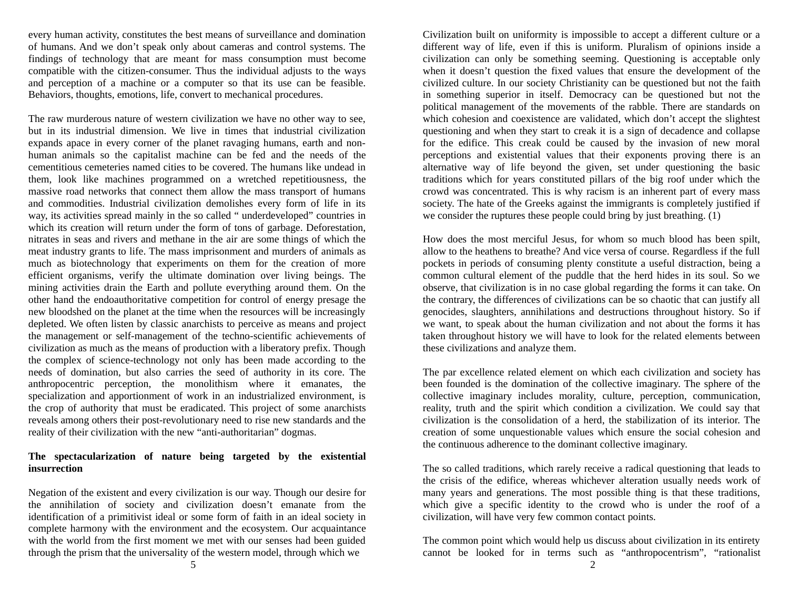every human activity, constitutes the best means of surveillance and domination of humans. And we don't speak only about cameras and control systems. The findings of technology that are meant for mass consumption must become compatible with the citizen-consumer. Thus the individual adjusts to the ways and perception of a machine or a computer so that its use can be feasible. Behaviors, thoughts, emotions, life, convert to mechanical procedures.

The raw murderous nature of western civilization we have no other way to see, but in its industrial dimension. We live in times that industrial civilization expands apace in every corner of the planet ravaging humans, earth and nonhuman animals so the capitalist machine can be fed and the needs of the cementitious cemeteries named cities to be covered. The humans like undead in them, look like machines programmed on a wretched repetitiousness, the massive road networks that connect them allow the mass transport of humans and commodities. Industrial civilization demolishes every form of life in its way, its activities spread mainly in the so called " underdeveloped" countries in which its creation will return under the form of tons of garbage. Deforestation, nitrates in seas and rivers and methane in the air are some things of which the meat industry grants to life. The mass imprisonment and murders of animals as much as biotechnology that experiments on them for the creation of more efficient organisms, verify the ultimate domination over living beings. The mining activities drain the Earth and pollute everything around them. On the other hand the endoauthoritative competition for control of energy presage the new bloodshed on the planet at the time when the resources will be increasingly depleted. We often listen by classic anarchists to perceive as means and project the management or self-management of the techno-scientific achievements of civilization as much as the means of production with a liberatory prefix. Though the complex of science-technology not only has been made according to the needs of domination, but also carries the seed of authority in its core. The anthropocentric perception, the monolithism where it emanates, the specialization and apportionment of work in an industrialized environment, is the crop of authority that must be eradicated. This project of some anarchists reveals among others their post-revolutionary need to rise new standards and the reality of their civilization with the new "anti-authoritarian" dogmas.

## **The spectacularization of nature being targeted by the existential insurrection**

Negation of the existent and every civilization is our way. Though our desire for the annihilation of society and civilization doesn't emanate from the identification of a primitivist ideal or some form of faith in an ideal society in complete harmony with the environment and the ecosystem. Our acquaintance with the world from the first moment we met with our senses had been guided through the prism that the universality of the western model, through which we

Civilization built on uniformity is impossible to accept a different culture or a different way of life, even if this is uniform. Pluralism of opinions inside a civilization can only be something seeming. Questioning is acceptable only when it doesn't question the fixed values that ensure the development of the civilized culture. In our society Christianity can be questioned but not the faith in something superior in itself. Democracy can be questioned but not the political management of the movements of the rabble. There are standards on which cohesion and coexistence are validated, which don't accept the slightest questioning and when they start to creak it is a sign of decadence and collapse for the edifice. This creak could be caused by the invasion of new moral perceptions and existential values that their exponents proving there is an alternative way of life beyond the given, set under questioning the basic traditions which for years constituted pillars of the big roof under which the crowd was concentrated. This is why racism is an inherent part of every mass society. The hate of the Greeks against the immigrants is completely justified if we consider the ruptures these people could bring by just breathing. (1)

How does the most merciful Jesus, for whom so much blood has been spilt, allow to the heathens to breathe? And vice versa of course. Regardless if the full pockets in periods of consuming plenty constitute a useful distraction, being a common cultural element of the puddle that the herd hides in its soul. So we observe, that civilization is in no case global regarding the forms it can take. On the contrary, the differences of civilizations can be so chaotic that can justify all genocides, slaughters, annihilations and destructions throughout history. So if we want, to speak about the human civilization and not about the forms it has taken throughout history we will have to look for the related elements between these civilizations and analyze them.

The par excellence related element on which each civilization and society has been founded is the domination of the collective imaginary. The sphere of the collective imaginary includes morality, culture, perception, communication, reality, truth and the spirit which condition a civilization. We could say that civilization is the consolidation of a herd, the stabilization of its interior. The creation of some unquestionable values which ensure the social cohesion and the continuous adherence to the dominant collective imaginary.

The so called traditions, which rarely receive a radical questioning that leads to the crisis of the edifice, whereas whichever alteration usually needs work of many years and generations. The most possible thing is that these traditions, which give a specific identity to the crowd who is under the roof of a civilization, will have very few common contact points.

The common point which would help us discuss about civilization in its entirety cannot be looked for in terms such as "anthropocentrism", "rationalist